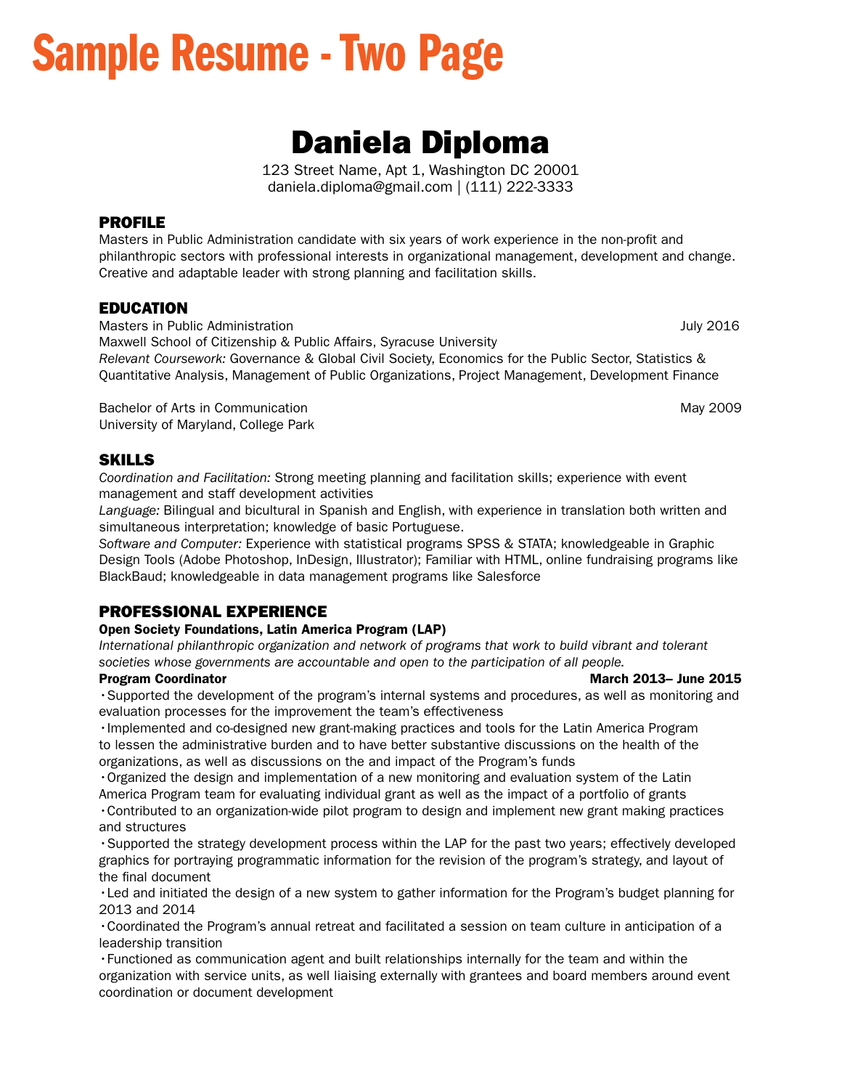# Sample Resume - Two Page

## Daniela Diploma

123 Street Name, Apt 1, Washington DC 20001 daniela.diploma@gmail.com | (111) 222-3333

#### PROFILE

Masters in Public Administration candidate with six years of work experience in the non-proft and philanthropic sectors with professional interests in organizational management, development and change. Creative and adaptable leader with strong planning and facilitation skills.

## EDUCATION

Masters in Public Administration **Masters** in Public Administration **July 2016** Maxwell School of Citizenship & Public Affairs, Syracuse University *Relevant Coursework:* Governance & Global Civil Society, Economics for the Public Sector, Statistics & Quantitative Analysis, Management of Public Organizations, Project Management, Development Finance

Bachelor of Arts in Communication May 2009 States of Arts in Communication May 2009 University of Maryland, College Park

## SKILLS

*Coordination and Facilitation:* Strong meeting planning and facilitation skills; experience with event management and staff development activities

*Language:* Bilingual and bicultural in Spanish and English, with experience in translation both written and simultaneous interpretation; knowledge of basic Portuguese.

*Software and Computer:* Experience with statistical programs SPSS & STATA; knowledgeable in Graphic Design Tools (Adobe Photoshop, InDesign, Illustrator); Familiar with HTML, online fundraising programs like BlackBaud; knowledgeable in data management programs like Salesforce

## PROFESSIONAL EXPERIENCE

#### Open Society Foundations, Latin America Program (LAP)

*International philanthropic organization and network of programs that work to build vibrant and tolerant societies whose governments are accountable and open to the participation of all people.* 

•Supported the development of the program's internal systems and procedures, as well as monitoring and evaluation processes for the improvement the team's effectiveness

•Implemented and co-designed new grant-making practices and tools for the Latin America Program to lessen the administrative burden and to have better substantive discussions on the health of the organizations, as well as discussions on the and impact of the Program's funds

•Organized the design and implementation of a new monitoring and evaluation system of the Latin America Program team for evaluating individual grant as well as the impact of a portfolio of grants

•Contributed to an organization-wide pilot program to design and implement new grant making practices and structures

•Supported the strategy development process within the LAP for the past two years; effectively developed graphics for portraying programmatic information for the revision of the program's strategy, and layout of the final document

•Led and initiated the design of a new system to gather information for the Program's budget planning for 2013 and 2014

•Coordinated the Program's annual retreat and facilitated a session on team culture in anticipation of a leadership transition

•Functioned as communication agent and built relationships internally for the team and within the organization with service units, as well liaising externally with grantees and board members around event coordination or document development

#### Program Coordinator **March 2013 March 2013** March 2013– June 2015